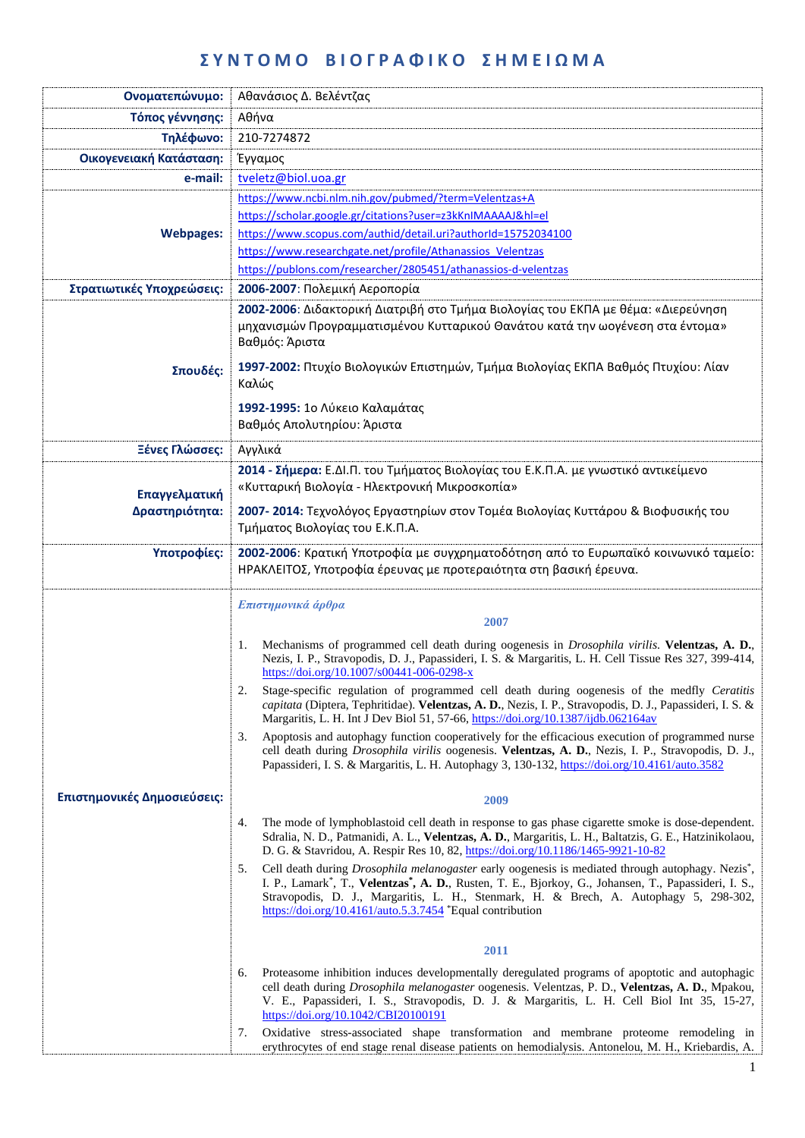## **Σ Υ Ν Τ Ο Μ Ο Β Ι Ο Γ Ρ Α Φ Ι Κ Ο Σ Η Μ Ε Ι Ω Μ Α**

| Ονοματεπώνυμο:              | Αθανάσιος Δ. Βελέντζας                                                                                                                                                                                                                                                                                                                                                                                                                                                                                       |  |  |
|-----------------------------|--------------------------------------------------------------------------------------------------------------------------------------------------------------------------------------------------------------------------------------------------------------------------------------------------------------------------------------------------------------------------------------------------------------------------------------------------------------------------------------------------------------|--|--|
| Τόπος γέννησης:             | Αθήνα                                                                                                                                                                                                                                                                                                                                                                                                                                                                                                        |  |  |
| Τηλέφωνο:                   | 210-7274872                                                                                                                                                                                                                                                                                                                                                                                                                                                                                                  |  |  |
| Οικογενειακή Κατάσταση:     | Έγγαμος                                                                                                                                                                                                                                                                                                                                                                                                                                                                                                      |  |  |
| e-mail:                     | tveletz@biol.uoa.gr                                                                                                                                                                                                                                                                                                                                                                                                                                                                                          |  |  |
|                             | https://www.ncbi.nlm.nih.gov/pubmed/?term=Velentzas+A                                                                                                                                                                                                                                                                                                                                                                                                                                                        |  |  |
|                             | https://scholar.google.gr/citations?user=z3kKnIMAAAAJ&hl=el                                                                                                                                                                                                                                                                                                                                                                                                                                                  |  |  |
| <b>Webpages:</b>            | https://www.scopus.com/authid/detail.uri?authorId=15752034100                                                                                                                                                                                                                                                                                                                                                                                                                                                |  |  |
|                             | https://www.researchgate.net/profile/Athanassios Velentzas                                                                                                                                                                                                                                                                                                                                                                                                                                                   |  |  |
|                             | https://publons.com/researcher/2805451/athanassios-d-velentzas                                                                                                                                                                                                                                                                                                                                                                                                                                               |  |  |
| Στρατιωτικές Υποχρεώσεις:   | 2006-2007: Πολεμική Αεροπορία                                                                                                                                                                                                                                                                                                                                                                                                                                                                                |  |  |
| Σπουδές:                    | 2002-2006: Διδακτορική Διατριβή στο Τμήμα Βιολογίας του ΕΚΠΑ με θέμα: «Διερεύνηση<br>μηχανισμών Προγραμματισμένου Κυτταρικού Θανάτου κατά την ωογένεση στα έντομα»<br>Βαθμός: Άριστα<br>1997-2002: Πτυχίο Βιολογικών Επιστημών, Τμήμα Βιολογίας ΕΚΠΑ Βαθμός Πτυχίου: Λίαν<br>Καλώς<br>1992-1995: 1ο Λύκειο Καλαμάτας                                                                                                                                                                                         |  |  |
|                             | Βαθμός Απολυτηρίου: Άριστα                                                                                                                                                                                                                                                                                                                                                                                                                                                                                   |  |  |
| Ξένες Γλώσσες:              | Αγγλικά                                                                                                                                                                                                                                                                                                                                                                                                                                                                                                      |  |  |
|                             | 2014 - Σήμερα: Ε.ΔΙ.Π. του Τμήματος Βιολογίας του Ε.Κ.Π.Α. με γνωστικό αντικείμενο                                                                                                                                                                                                                                                                                                                                                                                                                           |  |  |
| Επαγγελματική               | «Κυτταρική Βιολογία - Ηλεκτρονική Μικροσκοπία»                                                                                                                                                                                                                                                                                                                                                                                                                                                               |  |  |
| Δραστηριότητα:              | 2007-2014: Τεχνολόγος Εργαστηρίων στον Τομέα Βιολογίας Κυττάρου & Βιοφυσικής του                                                                                                                                                                                                                                                                                                                                                                                                                             |  |  |
|                             | Τμήματος Βιολογίας του Ε.Κ.Π.Α.                                                                                                                                                                                                                                                                                                                                                                                                                                                                              |  |  |
| Υποτροφίες:                 | 2002-2006: Κρατική Υποτροφία με συγχρηματοδότηση από το Ευρωπαϊκό κοινωνικό ταμείο:                                                                                                                                                                                                                                                                                                                                                                                                                          |  |  |
|                             | ΗΡΑΚΛΕΙΤΟΣ, Υποτροφία έρευνας με προτεραιότητα στη βασική έρευνα.                                                                                                                                                                                                                                                                                                                                                                                                                                            |  |  |
|                             | Επιστημονικά άρθρα<br>2007<br>Mechanisms of programmed cell death during oogenesis in <i>Drosophila virilis</i> . Velentzas, A. D.,<br>1.<br>Nezis, I. P., Stravopodis, D. J., Papassideri, I. S. & Margaritis, L. H. Cell Tissue Res 327, 399-414,<br>https://doi.org/10.1007/s00441-006-0298-x<br>Stage-specific regulation of programmed cell death during oogenesis of the medfly Ceratitis<br>capitata (Diptera, Tephritidae). Velentzas, A. D., Nezis, I. P., Stravopodis, D. J., Papassideri, I. S. & |  |  |
|                             | Margaritis, L. H. Int J Dev Biol 51, 57-66, https://doi.org/10.1387/ijdb.062164av<br>Apoptosis and autophagy function cooperatively for the efficacious execution of programmed nurse<br>3.<br>cell death during Drosophila virilis oogenesis. Velentzas, A. D., Nezis, I. P., Stravopodis, D. J.,<br>Papassideri, I. S. & Margaritis, L. H. Autophagy 3, 130-132, https://doi.org/10.4161/auto.3582                                                                                                         |  |  |
| Επιστημονικές Δημοσιεύσεις: | 2009                                                                                                                                                                                                                                                                                                                                                                                                                                                                                                         |  |  |
|                             | The mode of lymphoblastoid cell death in response to gas phase cigarette smoke is dose-dependent.<br>4.<br>Sdralia, N. D., Patmanidi, A. L., Velentzas, A. D., Margaritis, L. H., Baltatzis, G. E., Hatzinikolaou,<br>D. G. & Stavridou, A. Respir Res 10, 82, https://doi.org/10.1186/1465-9921-10-82                                                                                                                                                                                                       |  |  |
|                             | Cell death during <i>Drosophila melanogaster</i> early oogenesis is mediated through autophagy. Nezis <sup>*</sup> ,<br>5.<br>I. P., Lamark*, T., Velentzas*, A. D., Rusten, T. E., Bjorkoy, G., Johansen, T., Papassideri, I. S.,<br>Stravopodis, D. J., Margaritis, L. H., Stenmark, H. & Brech, A. Autophagy 5, 298-302,<br>https://doi.org/10.4161/auto.5.3.7454 $*$ Equal contribution                                                                                                                  |  |  |
|                             |                                                                                                                                                                                                                                                                                                                                                                                                                                                                                                              |  |  |
|                             | 2011                                                                                                                                                                                                                                                                                                                                                                                                                                                                                                         |  |  |
|                             | Proteasome inhibition induces developmentally deregulated programs of apoptotic and autophagic<br>6.<br>cell death during Drosophila melanogaster oogenesis. Velentzas, P. D., Velentzas, A. D., Mpakou,<br>V. E., Papassideri, I. S., Stravopodis, D. J. & Margaritis, L. H. Cell Biol Int 35, 15-27,<br>https://doi.org/10.1042/CBI20100191                                                                                                                                                                |  |  |
|                             | Oxidative stress-associated shape transformation and membrane proteome remodeling in<br>7.<br>erythrocytes of end stage renal disease patients on hemodialysis. Antonelou, M. H., Kriebardis, A.                                                                                                                                                                                                                                                                                                             |  |  |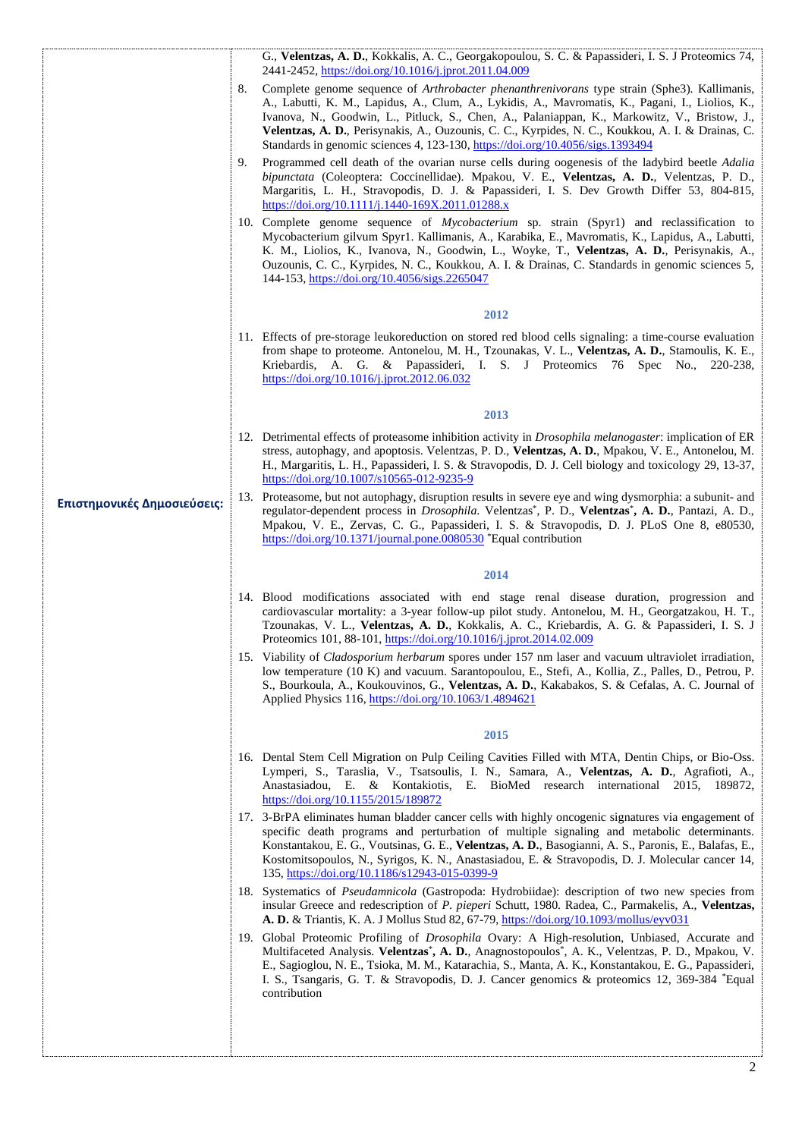|                             |    | G., Velentzas, A. D., Kokkalis, A. C., Georgakopoulou, S. C. & Papassideri, I. S. J Proteomics 74,<br>2441-2452, https://doi.org/10.1016/j.jprot.2011.04.009                                                                                                                                                                                                                                                                                                                                    |
|-----------------------------|----|-------------------------------------------------------------------------------------------------------------------------------------------------------------------------------------------------------------------------------------------------------------------------------------------------------------------------------------------------------------------------------------------------------------------------------------------------------------------------------------------------|
|                             | 8. | Complete genome sequence of <i>Arthrobacter phenanthrenivorans</i> type strain (Sphe3). Kallimanis,<br>A., Labutti, K. M., Lapidus, A., Clum, A., Lykidis, A., Mavromatis, K., Pagani, I., Liolios, K.,<br>Ivanova, N., Goodwin, L., Pitluck, S., Chen, A., Palaniappan, K., Markowitz, V., Bristow, J.,<br>Velentzas, A. D., Perisynakis, A., Ouzounis, C. C., Kyrpides, N. C., Koukkou, A. I. & Drainas, C.<br>Standards in genomic sciences 4, 123-130, https://doi.org/10.4056/sigs.1393494 |
|                             | 9. | Programmed cell death of the ovarian nurse cells during oogenesis of the ladybird beetle Adalia<br>bipunctata (Coleoptera: Coccinellidae). Mpakou, V. E., Velentzas, A. D., Velentzas, P. D.,<br>Margaritis, L. H., Stravopodis, D. J. & Papassideri, I. S. Dev Growth Differ 53, 804-815,<br>https://doi.org/10.1111/j.1440-169X.2011.01288.x                                                                                                                                                  |
|                             |    | 10. Complete genome sequence of <i>Mycobacterium</i> sp. strain (Spyr1) and reclassification to<br>Mycobacterium gilvum Spyr1. Kallimanis, A., Karabika, E., Mavromatis, K., Lapidus, A., Labutti,<br>K. M., Liolios, K., Ivanova, N., Goodwin, L., Woyke, T., Velentzas, A. D., Perisynakis, A.,<br>Ouzounis, C. C., Kyrpides, N. C., Koukkou, A. I. & Drainas, C. Standards in genomic sciences 5,<br>144-153, https://doi.org/10.4056/sigs.2265047                                           |
|                             |    | 2012                                                                                                                                                                                                                                                                                                                                                                                                                                                                                            |
|                             |    | 11. Effects of pre-storage leukoreduction on stored red blood cells signaling: a time-course evaluation<br>from shape to proteome. Antonelou, M. H., Tzounakas, V. L., Velentzas, A. D., Stamoulis, K. E.,<br>Kriebardis, A. G. & Papassideri, I. S. J Proteomics 76 Spec No., 220-238,<br>https://doi.org/10.1016/j.jprot.2012.06.032                                                                                                                                                          |
|                             |    | 2013                                                                                                                                                                                                                                                                                                                                                                                                                                                                                            |
|                             |    | 12. Detrimental effects of proteasome inhibition activity in <i>Drosophila melanogaster</i> : implication of ER<br>stress, autophagy, and apoptosis. Velentzas, P. D., Velentzas, A. D., Mpakou, V. E., Antonelou, M.<br>H., Margaritis, L. H., Papassideri, I. S. & Stravopodis, D. J. Cell biology and toxicology 29, 13-37,<br>https://doi.org/10.1007/s10565-012-9235-9                                                                                                                     |
| Επιστημονικές Δημοσιεύσεις: |    | 13. Proteasome, but not autophagy, disruption results in severe eye and wing dysmorphia: a subunit- and<br>regulator-dependent process in <i>Drosophila</i> . Velentzas*, P. D., Velentzas*, A. D., Pantazi, A. D.,<br>Mpakou, V. E., Zervas, C. G., Papassideri, I. S. & Stravopodis, D. J. PLoS One 8, e80530,<br>https://doi.org/10.1371/journal.pone.0080530 *Equal contribution                                                                                                            |
|                             |    | 2014                                                                                                                                                                                                                                                                                                                                                                                                                                                                                            |
|                             |    | 14. Blood modifications associated with end stage renal disease duration, progression and<br>cardiovascular mortality: a 3-year follow-up pilot study. Antonelou, M. H., Georgatzakou, H. T.,<br>Tzounakas, V. L., Velentzas, A. D., Kokkalis, A. C., Kriebardis, A. G. & Papassideri, I. S. J<br>Proteomics 101, 88-101, https://doi.org/10.1016/j.jprot.2014.02.009                                                                                                                           |
|                             |    | 15. Viability of <i>Cladosporium herbarum</i> spores under 157 nm laser and vacuum ultraviolet irradiation,<br>low temperature (10 K) and vacuum. Sarantopoulou, E., Stefi, A., Kollia, Z., Palles, D., Petrou, P.<br>S., Bourkoula, A., Koukouvinos, G., Velentzas, A. D., Kakabakos, S. & Cefalas, A. C. Journal of<br>Applied Physics 116, https://doi.org/10.1063/1.4894621                                                                                                                 |
|                             |    | 2015                                                                                                                                                                                                                                                                                                                                                                                                                                                                                            |
|                             |    | 16. Dental Stem Cell Migration on Pulp Ceiling Cavities Filled with MTA, Dentin Chips, or Bio-Oss.<br>Lymperi, S., Taraslia, V., Tsatsoulis, I. N., Samara, A., Velentzas, A. D., Agrafioti, A.,<br>Anastasiadou, E. & Kontakiotis, E. BioMed research international 2015, 189872,<br>https://doi.org/10.1155/2015/189872                                                                                                                                                                       |
|                             |    | 17. 3-BrPA eliminates human bladder cancer cells with highly oncogenic signatures via engagement of<br>specific death programs and perturbation of multiple signaling and metabolic determinants.<br>Konstantakou, E. G., Voutsinas, G. E., Velentzas, A. D., Basogianni, A. S., Paronis, E., Balafas, E.,<br>Kostomitsopoulos, N., Syrigos, K. N., Anastasiadou, E. & Stravopodis, D. J. Molecular cancer 14,<br>135, https://doi.org/10.1186/s12943-015-0399-9                                |
|                             |    | 18. Systematics of <i>Pseudamnicola</i> (Gastropoda: Hydrobiidae): description of two new species from<br>insular Greece and redescription of P. pieperi Schutt, 1980. Radea, C., Parmakelis, A., Velentzas,<br>A. D. & Triantis, K. A. J Mollus Stud 82, 67-79, https://doi.org/10.1093/mollus/eyv031                                                                                                                                                                                          |
|                             |    | 19. Global Proteomic Profiling of Drosophila Ovary: A High-resolution, Unbiased, Accurate and<br>Multifaceted Analysis. Velentzas*, A. D., Anagnostopoulos*, A. K., Velentzas, P. D., Mpakou, V.<br>E., Sagioglou, N. E., Tsioka, M. M., Katarachia, S., Manta, A. K., Konstantakou, E. G., Papassideri,<br>I. S., Tsangaris, G. T. & Stravopodis, D. J. Cancer genomics & proteomics 12, 369-384 *Equal<br>contribution                                                                        |
|                             |    |                                                                                                                                                                                                                                                                                                                                                                                                                                                                                                 |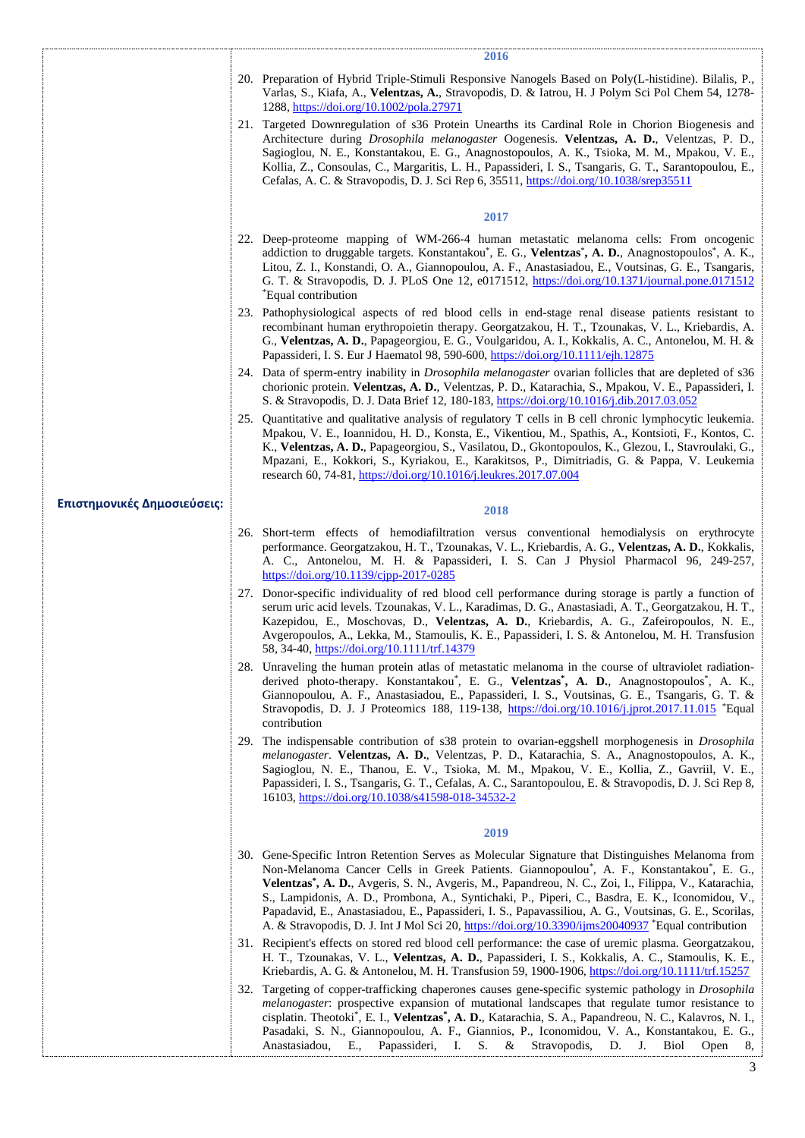|                             |     | 2016                                                                                                                                                                                                                                                                                                                                                                                                                                                                                                                                                                                                                     |
|-----------------------------|-----|--------------------------------------------------------------------------------------------------------------------------------------------------------------------------------------------------------------------------------------------------------------------------------------------------------------------------------------------------------------------------------------------------------------------------------------------------------------------------------------------------------------------------------------------------------------------------------------------------------------------------|
|                             |     | 20. Preparation of Hybrid Triple-Stimuli Responsive Nanogels Based on Poly(L-histidine). Bilalis, P.,<br>Varlas, S., Kiafa, A., Velentzas, A., Stravopodis, D. & Iatrou, H. J Polym Sci Pol Chem 54, 1278-<br>1288, https://doi.org/10.1002/pola.27971                                                                                                                                                                                                                                                                                                                                                                   |
|                             |     | 21. Targeted Downregulation of s36 Protein Unearths its Cardinal Role in Chorion Biogenesis and<br>Architecture during <i>Drosophila melanogaster</i> Oogenesis. Velentzas, A. D., Velentzas, P. D.,<br>Sagioglou, N. E., Konstantakou, E. G., Anagnostopoulos, A. K., Tsioka, M. M., Mpakou, V. E.,<br>Kollia, Z., Consoulas, C., Margaritis, L. H., Papassideri, I. S., Tsangaris, G. T., Sarantopoulou, E.,<br>Cefalas, A. C. & Stravopodis, D. J. Sci Rep 6, 35511, https://doi.org/10.1038/srep35511                                                                                                                |
|                             |     | 2017                                                                                                                                                                                                                                                                                                                                                                                                                                                                                                                                                                                                                     |
|                             |     | 22. Deep-proteome mapping of WM-266-4 human metastatic melanoma cells: From oncogenic<br>addiction to druggable targets. Konstantakou*, E. G., Velentzas*, A. D., Anagnostopoulos*, A. K.,<br>Litou, Z. I., Konstandi, O. A., Giannopoulou, A. F., Anastasiadou, E., Voutsinas, G. E., Tsangaris,<br>G. T. & Stravopodis, D. J. PLoS One 12, e0171512, https://doi.org/10.1371/journal.pone.0171512<br><i>*Equal contribution</i>                                                                                                                                                                                        |
|                             |     | 23. Pathophysiological aspects of red blood cells in end-stage renal disease patients resistant to<br>recombinant human erythropoietin therapy. Georgatzakou, H. T., Tzounakas, V. L., Kriebardis, A.<br>G., Velentzas, A. D., Papageorgiou, E. G., Voulgaridou, A. I., Kokkalis, A. C., Antonelou, M. H. &<br>Papassideri, I. S. Eur J Haematol 98, 590-600, https://doi.org/10.1111/ejh.12875                                                                                                                                                                                                                          |
|                             |     | 24. Data of sperm-entry inability in <i>Drosophila melanogaster</i> ovarian follicles that are depleted of s36<br>chorionic protein. Velentzas, A. D., Velentzas, P. D., Katarachia, S., Mpakou, V. E., Papassideri, I.<br>S. & Stravopodis, D. J. Data Brief 12, 180-183, https://doi.org/10.1016/j.dib.2017.03.052                                                                                                                                                                                                                                                                                                     |
|                             |     | 25. Quantitative and qualitative analysis of regulatory T cells in B cell chronic lymphocytic leukemia.<br>Mpakou, V. E., Ioannidou, H. D., Konsta, E., Vikentiou, M., Spathis, A., Kontsioti, F., Kontos, C.<br>K., Velentzas, A. D., Papageorgiou, S., Vasilatou, D., Gkontopoulos, K., Glezou, I., Stavroulaki, G.,<br>Mpazani, E., Kokkori, S., Kyriakou, E., Karakitsos, P., Dimitriadis, G. & Pappa, V. Leukemia<br>research 60, 74-81, https://doi.org/10.1016/j.leukres.2017.07.004                                                                                                                              |
| Επιστημονικές Δημοσιεύσεις: |     | 2018                                                                                                                                                                                                                                                                                                                                                                                                                                                                                                                                                                                                                     |
|                             |     | 26. Short-term effects of hemodiafiltration versus conventional hemodialysis on erythrocyte<br>performance. Georgatzakou, H. T., Tzounakas, V. L., Kriebardis, A. G., Velentzas, A. D., Kokkalis,<br>A. C., Antonelou, M. H. & Papassideri, I. S. Can J Physiol Pharmacol 96, 249-257,<br>https://doi.org/10.1139/cjpp-2017-0285                                                                                                                                                                                                                                                                                         |
|                             |     | 27. Donor-specific individuality of red blood cell performance during storage is partly a function of<br>serum uric acid levels. Tzounakas, V. L., Karadimas, D. G., Anastasiadi, A. T., Georgatzakou, H. T.,<br>Kazepidou, E., Moschovas, D., Velentzas, A. D., Kriebardis, A. G., Zafeiropoulos, N. E.,<br>Avgeropoulos, A., Lekka, M., Stamoulis, K. E., Papassideri, I. S. & Antonelou, M. H. Transfusion<br>58, 34-40, https://doi.org/10.1111/trf.14379                                                                                                                                                            |
|                             |     | 28. Unraveling the human protein atlas of metastatic melanoma in the course of ultraviolet radiation-<br>derived photo-therapy. Konstantakou*, E. G., Velentzas*, A. D., Anagnostopoulos*, A. K.,<br>Giannopoulou, A. F., Anastasiadou, E., Papassideri, I. S., Voutsinas, G. E., Tsangaris, G. T. &<br>Stravopodis, D. J. J Proteomics 188, 119-138, https://doi.org/10.1016/j.jprot.2017.11.015 *Equal<br>contribution                                                                                                                                                                                                 |
|                             | 29. | The indispensable contribution of s38 protein to ovarian-eggshell morphogenesis in <i>Drosophila</i><br>melanogaster. Velentzas, A. D., Velentzas, P. D., Katarachia, S. A., Anagnostopoulos, A. K.,<br>Sagioglou, N. E., Thanou, E. V., Tsioka, M. M., Mpakou, V. E., Kollia, Z., Gavriil, V. E.,<br>Papassideri, I. S., Tsangaris, G. T., Cefalas, A. C., Sarantopoulou, E. & Stravopodis, D. J. Sci Rep 8,<br>16103, https://doi.org/10.1038/s41598-018-34532-2                                                                                                                                                       |
|                             |     | 2019                                                                                                                                                                                                                                                                                                                                                                                                                                                                                                                                                                                                                     |
|                             |     | 30. Gene-Specific Intron Retention Serves as Molecular Signature that Distinguishes Melanoma from<br>Non-Melanoma Cancer Cells in Greek Patients. Giannopoulou*, A. F., Konstantakou*, E. G.,<br>Velentzas*, A. D., Avgeris, S. N., Avgeris, M., Papandreou, N. C., Zoi, I., Filippa, V., Katarachia,<br>S., Lampidonis, A. D., Prombona, A., Syntichaki, P., Piperi, C., Basdra, E. K., Iconomidou, V.,<br>Papadavid, E., Anastasiadou, E., Papassideri, I. S., Papavassiliou, A. G., Voutsinas, G. E., Scorilas,<br>A. & Stravopodis, D. J. Int J Mol Sci 20, https://doi.org/10.3390/ijms20040937 *Equal contribution |
|                             |     | 31. Recipient's effects on stored red blood cell performance: the case of uremic plasma. Georgatzakou,<br>H. T., Tzounakas, V. L., Velentzas, A. D., Papassideri, I. S., Kokkalis, A. C., Stamoulis, K. E.,<br>Kriebardis, A. G. & Antonelou, M. H. Transfusion 59, 1900-1906, https://doi.org/10.1111/trf.15257                                                                                                                                                                                                                                                                                                         |
|                             | 32. | Targeting of copper-trafficking chaperones causes gene-specific systemic pathology in <i>Drosophila</i><br><i>melanogaster</i> : prospective expansion of mutational landscapes that regulate tumor resistance to<br>cisplatin. Theotoki*, E. I., Velentzas*, A. D., Katarachia, S. A., Papandreou, N. C., Kalavros, N. I.,<br>Pasadaki, S. N., Giannopoulou, A. F., Giannios, P., Iconomidou, V. A., Konstantakou, E. G.,<br>S.<br>Anastasiadou,<br>E.,<br>Papassideri,<br>I.<br>&<br>Stravopodis,<br>D.<br>J.<br>Biol<br>Open<br>8,                                                                                    |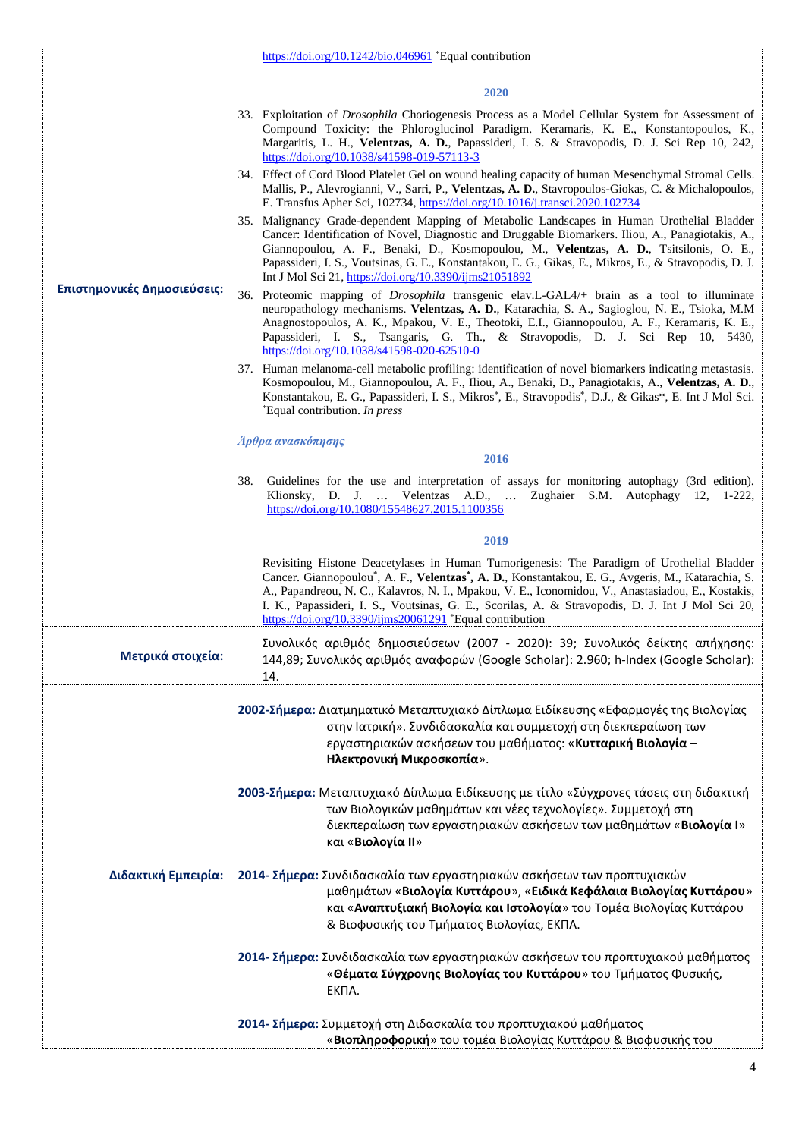|                             | https://doi.org/10.1242/bio.046961 *Equal contribution                                                                                                                                                                                                                                                                                                                                                                                                                |
|-----------------------------|-----------------------------------------------------------------------------------------------------------------------------------------------------------------------------------------------------------------------------------------------------------------------------------------------------------------------------------------------------------------------------------------------------------------------------------------------------------------------|
|                             | 2020                                                                                                                                                                                                                                                                                                                                                                                                                                                                  |
| Επιστημονικές Δημοσιεύσεις: | 33. Exploitation of <i>Drosophila</i> Choriogenesis Process as a Model Cellular System for Assessment of<br>Compound Toxicity: the Phloroglucinol Paradigm. Keramaris, K. E., Konstantopoulos, K.,<br>Margaritis, L. H., Velentzas, A. D., Papassideri, I. S. & Stravopodis, D. J. Sci Rep 10, 242,<br>https://doi.org/10.1038/s41598-019-57113-3                                                                                                                     |
|                             | 34. Effect of Cord Blood Platelet Gel on wound healing capacity of human Mesenchymal Stromal Cells.<br>Mallis, P., Alevrogianni, V., Sarri, P., Velentzas, A. D., Stavropoulos-Giokas, C. & Michalopoulos,<br>E. Transfus Apher Sci, 102734, https://doi.org/10.1016/j.transci.2020.102734                                                                                                                                                                            |
|                             | 35. Malignancy Grade-dependent Mapping of Metabolic Landscapes in Human Urothelial Bladder<br>Cancer: Identification of Novel, Diagnostic and Druggable Biomarkers. Iliou, A., Panagiotakis, A.,<br>Giannopoulou, A. F., Benaki, D., Kosmopoulou, M., Velentzas, A. D., Tsitsilonis, O. E.,<br>Papassideri, I. S., Voutsinas, G. E., Konstantakou, E. G., Gikas, E., Mikros, E., & Stravopodis, D. J.<br>Int J Mol Sci 21, https://doi.org/10.3390/ijms21051892       |
|                             | 36. Proteomic mapping of <i>Drosophila</i> transgenic elav.L-GAL4/+ brain as a tool to illuminate<br>neuropathology mechanisms. Velentzas, A. D., Katarachia, S. A., Sagioglou, N. E., Tsioka, M.M.<br>Anagnostopoulos, A. K., Mpakou, V. E., Theotoki, E.I., Giannopoulou, A. F., Keramaris, K. E.,<br>Papassideri, I. S., Tsangaris, G. Th., & Stravopodis, D. J. Sci Rep 10, 5430,<br>https://doi.org/10.1038/s41598-020-62510-0                                   |
|                             | 37. Human melanoma-cell metabolic profiling: identification of novel biomarkers indicating metastasis.<br>Kosmopoulou, M., Giannopoulou, A. F., Iliou, A., Benaki, D., Panagiotakis, A., Velentzas, A. D.,<br>Konstantakou, E. G., Papassideri, I. S., Mikros*, E., Stravopodis*, D.J., & Gikas*, E. Int J Mol Sci.<br>*Equal contribution. In press                                                                                                                  |
|                             | Άρθρα ανασκόπησης                                                                                                                                                                                                                                                                                                                                                                                                                                                     |
|                             | 2016                                                                                                                                                                                                                                                                                                                                                                                                                                                                  |
|                             | Guidelines for the use and interpretation of assays for monitoring autophagy (3rd edition).<br>38.<br>Klionsky, D. J.  Velentzas A.D.,  Zughaier S.M. Autophagy 12,<br>$1-222$<br>https://doi.org/10.1080/15548627.2015.1100356                                                                                                                                                                                                                                       |
|                             | 2019                                                                                                                                                                                                                                                                                                                                                                                                                                                                  |
|                             | Revisiting Histone Deacetylases in Human Tumorigenesis: The Paradigm of Urothelial Bladder<br>Cancer. Giannopoulou*, A. F., Velentzas*, A. D., Konstantakou, E. G., Avgeris, M., Katarachia, S.<br>A., Papandreou, N. C., Kalavros, N. I., Mpakou, V. E., Iconomidou, V., Anastasiadou, E., Kostakis,<br>I. K., Papassideri, I. S., Voutsinas, G. E., Scorilas, A. & Stravopodis, D. J. Int J Mol Sci 20,<br>https://doi.org/10.3390/ijms20061291 *Equal contribution |
| Μετρικά στοιχεία:           | Συνολικός αριθμός δημοσιεύσεων (2007 - 2020): 39; Συνολικός δείκτης απήχησης:<br>144,89; Συνολικός αριθμός αναφορών (Google Scholar): 2.960; h-Index (Google Scholar):<br>14.                                                                                                                                                                                                                                                                                         |
|                             | 2002-Σήμερα: Διατμηματικό Μεταπτυχιακό Δίπλωμα Ειδίκευσης «Εφαρμογές της Βιολογίας<br>στην Ιατρική». Συνδιδασκαλία και συμμετοχή στη διεκπεραίωση των<br>εργαστηριακών ασκήσεων του μαθήματος: «Κυτταρική Βιολογία -<br>Ηλεκτρονική Μικροσκοπία».                                                                                                                                                                                                                     |
|                             | 2003-Σήμερα: Μεταπτυχιακό Δίπλωμα Ειδίκευσης με τίτλο «Σύγχρονες τάσεις στη διδακτική<br>των Βιολογικών μαθημάτων και νέες τεχνολογίες». Συμμετοχή στη<br>διεκπεραίωση των εργαστηριακών ασκήσεων των μαθημάτων «Βιολογία Ι»<br>και «Βιολογία ΙΙ»                                                                                                                                                                                                                     |
| Διδακτική Εμπειρία:         | 2014- Σήμερα: Συνδιδασκαλία των εργαστηριακών ασκήσεων των προπτυχιακών<br>μαθημάτων «Βιολογία Κυττάρου», «Ειδικά Κεφάλαια Βιολογίας Κυττάρου»<br>και « <b>Αναπτυξιακή Βιολογία και Ιστολογία</b> » του Τομέα Βιολογίας Κυττάρου<br>& Βιοφυσικής του Τμήματος Βιολογίας, ΕΚΠΑ.                                                                                                                                                                                        |
|                             | 2014- Σήμερα: Συνδιδασκαλία των εργαστηριακών ασκήσεων του προπτυχιακού μαθήματος<br>«Θέματα Σύγχρονης Βιολογίας του Κυττάρου» του Τμήματος Φυσικής,<br>EK <sub>DA</sub> .                                                                                                                                                                                                                                                                                            |
|                             | 2014- Σήμερα: Συμμετοχή στη Διδασκαλία του προπτυχιακού μαθήματος<br>«Βιοπληροφορική» του τομέα Βιολογίας Κυττάρου & Βιοφυσικής του                                                                                                                                                                                                                                                                                                                                   |